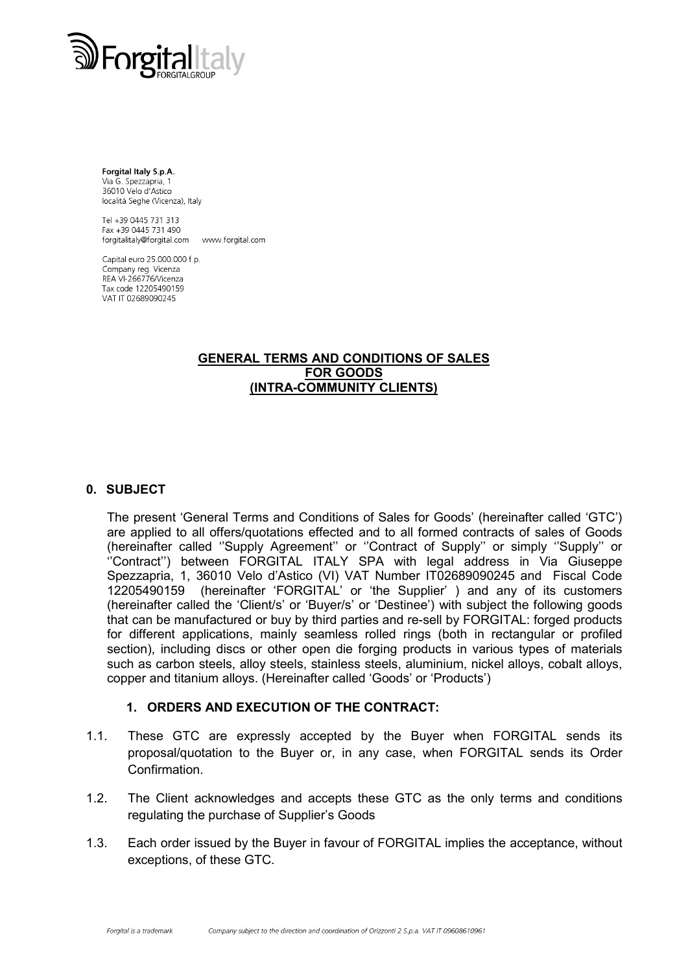

Forgital Italy S.p.A. Via G. Spezzapria, 1 36010 Velo d'Astico località Seghe (Vicenza), Italy

Tel +39 0445 731 313 Fax +39 0445 731 490 forgitalitaly@forgital.com www.forgital.com

Capital euro 25.000.000 f.p. Company reg. Vicenza REA VI-266776/Vicenza Tax code 12205490159 VAT IT 02689090245

#### GENERAL TERMS AND CONDITIONS OF SALES FOR GOODS (INTRA-COMMUNITY CLIENTS)

### 0. SUBJECT

The present 'General Terms and Conditions of Sales for Goods' (hereinafter called 'GTC') are applied to all offers/quotations effected and to all formed contracts of sales of Goods (hereinafter called ''Supply Agreement'' or ''Contract of Supply'' or simply ''Supply'' or ''Contract'') between FORGITAL ITALY SPA with legal address in Via Giuseppe Spezzapria, 1, 36010 Velo d'Astico (VI) VAT Number IT02689090245 and Fiscal Code 12205490159 (hereinafter 'FORGITAL' or 'the Supplier' ) and any of its customers (hereinafter called the 'Client/s' or 'Buyer/s' or 'Destinee') with subject the following goods that can be manufactured or buy by third parties and re-sell by FORGITAL: forged products for different applications, mainly seamless rolled rings (both in rectangular or profiled section), including discs or other open die forging products in various types of materials such as carbon steels, alloy steels, stainless steels, aluminium, nickel alloys, cobalt alloys, copper and titanium alloys. (Hereinafter called 'Goods' or 'Products')

#### 1. ORDERS AND EXECUTION OF THE CONTRACT:

- 1.1. These GTC are expressly accepted by the Buyer when FORGITAL sends its proposal/quotation to the Buyer or, in any case, when FORGITAL sends its Order Confirmation.
- 1.2. The Client acknowledges and accepts these GTC as the only terms and conditions regulating the purchase of Supplier's Goods
- 1.3. Each order issued by the Buyer in favour of FORGITAL implies the acceptance, without exceptions, of these GTC.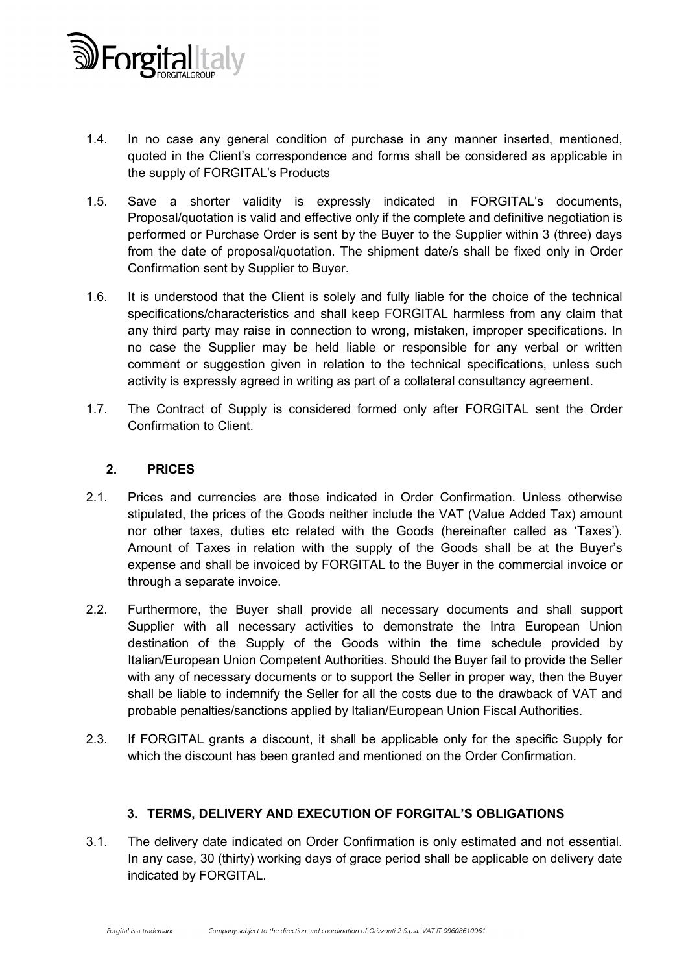

- 1.4. In no case any general condition of purchase in any manner inserted, mentioned, quoted in the Client's correspondence and forms shall be considered as applicable in the supply of FORGITAL's Products
- 1.5. Save a shorter validity is expressly indicated in FORGITAL's documents, Proposal/quotation is valid and effective only if the complete and definitive negotiation is performed or Purchase Order is sent by the Buyer to the Supplier within 3 (three) days from the date of proposal/quotation. The shipment date/s shall be fixed only in Order Confirmation sent by Supplier to Buyer.
- 1.6. It is understood that the Client is solely and fully liable for the choice of the technical specifications/characteristics and shall keep FORGITAL harmless from any claim that any third party may raise in connection to wrong, mistaken, improper specifications. In no case the Supplier may be held liable or responsible for any verbal or written comment or suggestion given in relation to the technical specifications, unless such activity is expressly agreed in writing as part of a collateral consultancy agreement.
- 1.7. The Contract of Supply is considered formed only after FORGITAL sent the Order Confirmation to Client.

### 2. PRICES

- 2.1. Prices and currencies are those indicated in Order Confirmation. Unless otherwise stipulated, the prices of the Goods neither include the VAT (Value Added Tax) amount nor other taxes, duties etc related with the Goods (hereinafter called as 'Taxes'). Amount of Taxes in relation with the supply of the Goods shall be at the Buyer's expense and shall be invoiced by FORGITAL to the Buyer in the commercial invoice or through a separate invoice.
- 2.2. Furthermore, the Buyer shall provide all necessary documents and shall support Supplier with all necessary activities to demonstrate the Intra European Union destination of the Supply of the Goods within the time schedule provided by Italian/European Union Competent Authorities. Should the Buyer fail to provide the Seller with any of necessary documents or to support the Seller in proper way, then the Buyer shall be liable to indemnify the Seller for all the costs due to the drawback of VAT and probable penalties/sanctions applied by Italian/European Union Fiscal Authorities.
- 2.3. If FORGITAL grants a discount, it shall be applicable only for the specific Supply for which the discount has been granted and mentioned on the Order Confirmation.

# 3. TERMS, DELIVERY AND EXECUTION OF FORGITAL'S OBLIGATIONS

3.1. The delivery date indicated on Order Confirmation is only estimated and not essential. In any case, 30 (thirty) working days of grace period shall be applicable on delivery date indicated by FORGITAL.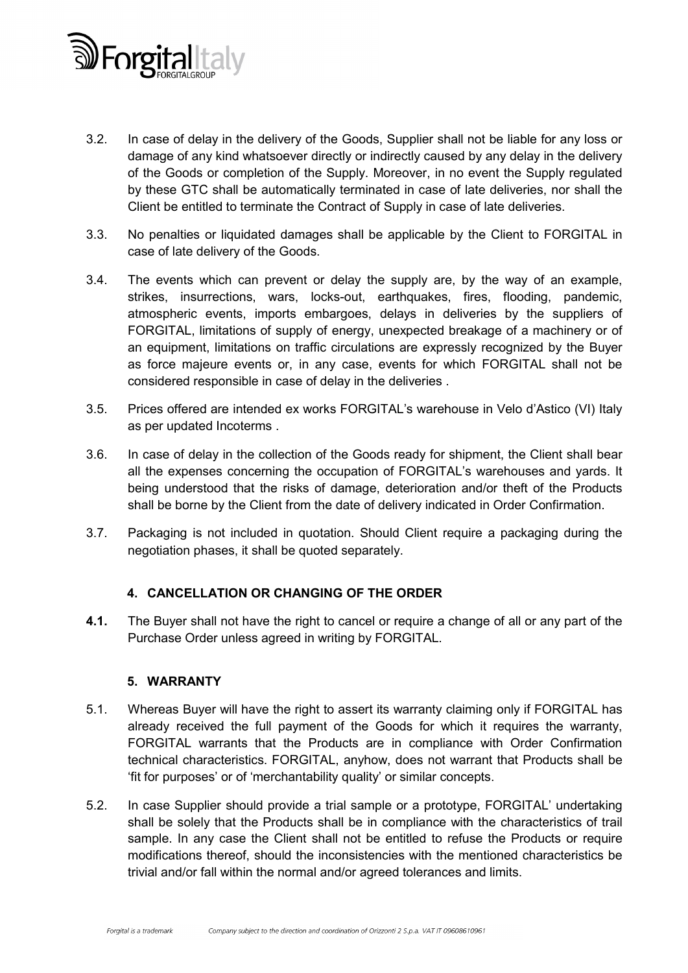

- 3.2. In case of delay in the delivery of the Goods, Supplier shall not be liable for any loss or damage of any kind whatsoever directly or indirectly caused by any delay in the delivery of the Goods or completion of the Supply. Moreover, in no event the Supply regulated by these GTC shall be automatically terminated in case of late deliveries, nor shall the Client be entitled to terminate the Contract of Supply in case of late deliveries.
- 3.3. No penalties or liquidated damages shall be applicable by the Client to FORGITAL in case of late delivery of the Goods.
- 3.4. The events which can prevent or delay the supply are, by the way of an example, strikes, insurrections, wars, locks-out, earthquakes, fires, flooding, pandemic, atmospheric events, imports embargoes, delays in deliveries by the suppliers of FORGITAL, limitations of supply of energy, unexpected breakage of a machinery or of an equipment, limitations on traffic circulations are expressly recognized by the Buyer as force majeure events or, in any case, events for which FORGITAL shall not be considered responsible in case of delay in the deliveries .
- 3.5. Prices offered are intended ex works FORGITAL's warehouse in Velo d'Astico (VI) Italy as per updated Incoterms .
- 3.6. In case of delay in the collection of the Goods ready for shipment, the Client shall bear all the expenses concerning the occupation of FORGITAL's warehouses and yards. It being understood that the risks of damage, deterioration and/or theft of the Products shall be borne by the Client from the date of delivery indicated in Order Confirmation.
- 3.7. Packaging is not included in quotation. Should Client require a packaging during the negotiation phases, it shall be quoted separately.

### 4. CANCELLATION OR CHANGING OF THE ORDER

4.1. The Buyer shall not have the right to cancel or require a change of all or any part of the Purchase Order unless agreed in writing by FORGITAL.

### 5. WARRANTY

- 5.1. Whereas Buyer will have the right to assert its warranty claiming only if FORGITAL has already received the full payment of the Goods for which it requires the warranty, FORGITAL warrants that the Products are in compliance with Order Confirmation technical characteristics. FORGITAL, anyhow, does not warrant that Products shall be 'fit for purposes' or of 'merchantability quality' or similar concepts.
- 5.2. In case Supplier should provide a trial sample or a prototype, FORGITAL' undertaking shall be solely that the Products shall be in compliance with the characteristics of trail sample. In any case the Client shall not be entitled to refuse the Products or require modifications thereof, should the inconsistencies with the mentioned characteristics be trivial and/or fall within the normal and/or agreed tolerances and limits.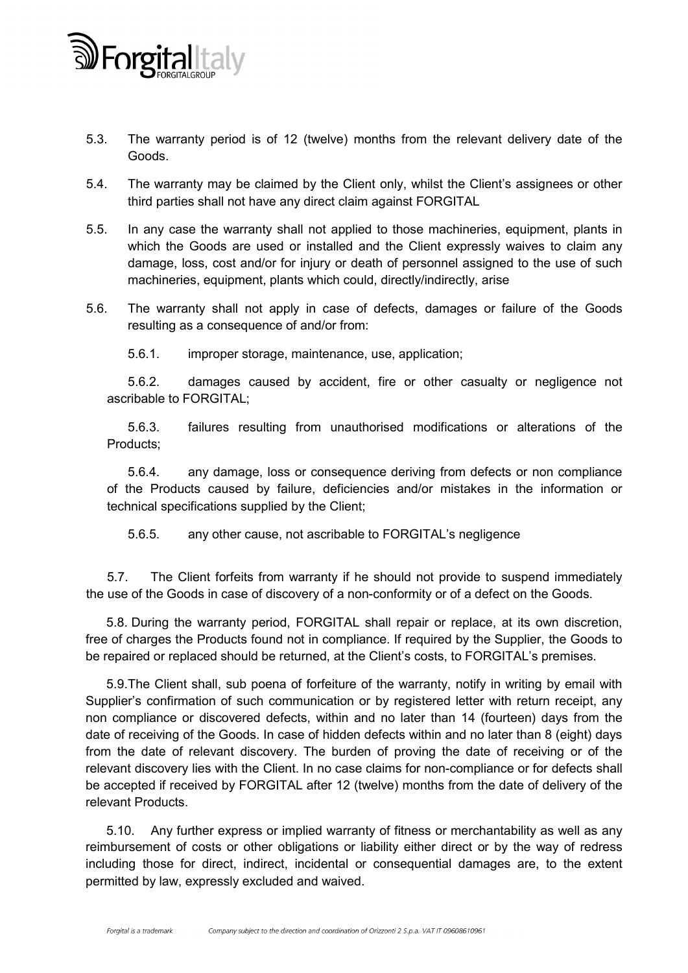

- 5.3. The warranty period is of 12 (twelve) months from the relevant delivery date of the Goods.
- 5.4. The warranty may be claimed by the Client only, whilst the Client's assignees or other third parties shall not have any direct claim against FORGITAL
- 5.5. In any case the warranty shall not applied to those machineries, equipment, plants in which the Goods are used or installed and the Client expressly waives to claim any damage, loss, cost and/or for injury or death of personnel assigned to the use of such machineries, equipment, plants which could, directly/indirectly, arise
- 5.6. The warranty shall not apply in case of defects, damages or failure of the Goods resulting as a consequence of and/or from:
	- 5.6.1. improper storage, maintenance, use, application;

5.6.2. damages caused by accident, fire or other casualty or negligence not ascribable to FORGITAL;

5.6.3. failures resulting from unauthorised modifications or alterations of the Products;

5.6.4. any damage, loss or consequence deriving from defects or non compliance of the Products caused by failure, deficiencies and/or mistakes in the information or technical specifications supplied by the Client;

5.6.5. any other cause, not ascribable to FORGITAL's negligence

5.7. The Client forfeits from warranty if he should not provide to suspend immediately the use of the Goods in case of discovery of a non-conformity or of a defect on the Goods.

5.8. During the warranty period, FORGITAL shall repair or replace, at its own discretion, free of charges the Products found not in compliance. If required by the Supplier, the Goods to be repaired or replaced should be returned, at the Client's costs, to FORGITAL's premises.

5.9.The Client shall, sub poena of forfeiture of the warranty, notify in writing by email with Supplier's confirmation of such communication or by registered letter with return receipt, any non compliance or discovered defects, within and no later than 14 (fourteen) days from the date of receiving of the Goods. In case of hidden defects within and no later than 8 (eight) days from the date of relevant discovery. The burden of proving the date of receiving or of the relevant discovery lies with the Client. In no case claims for non-compliance or for defects shall be accepted if received by FORGITAL after 12 (twelve) months from the date of delivery of the relevant Products.

5.10. Any further express or implied warranty of fitness or merchantability as well as any reimbursement of costs or other obligations or liability either direct or by the way of redress including those for direct, indirect, incidental or consequential damages are, to the extent permitted by law, expressly excluded and waived.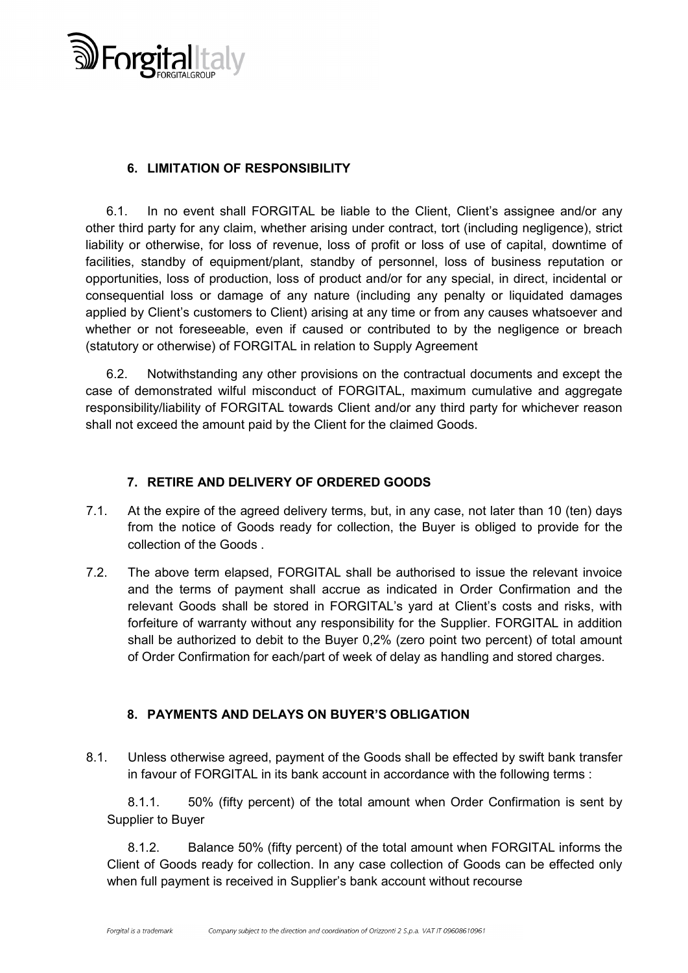

# 6. LIMITATION OF RESPONSIBILITY

6.1. In no event shall FORGITAL be liable to the Client, Client's assignee and/or any other third party for any claim, whether arising under contract, tort (including negligence), strict liability or otherwise, for loss of revenue, loss of profit or loss of use of capital, downtime of facilities, standby of equipment/plant, standby of personnel, loss of business reputation or opportunities, loss of production, loss of product and/or for any special, in direct, incidental or consequential loss or damage of any nature (including any penalty or liquidated damages applied by Client's customers to Client) arising at any time or from any causes whatsoever and whether or not foreseeable, even if caused or contributed to by the negligence or breach (statutory or otherwise) of FORGITAL in relation to Supply Agreement

6.2. Notwithstanding any other provisions on the contractual documents and except the case of demonstrated wilful misconduct of FORGITAL, maximum cumulative and aggregate responsibility/liability of FORGITAL towards Client and/or any third party for whichever reason shall not exceed the amount paid by the Client for the claimed Goods.

### 7. RETIRE AND DELIVERY OF ORDERED GOODS

- 7.1. At the expire of the agreed delivery terms, but, in any case, not later than 10 (ten) days from the notice of Goods ready for collection, the Buyer is obliged to provide for the collection of the Goods .
- 7.2. The above term elapsed, FORGITAL shall be authorised to issue the relevant invoice and the terms of payment shall accrue as indicated in Order Confirmation and the relevant Goods shall be stored in FORGITAL's yard at Client's costs and risks, with forfeiture of warranty without any responsibility for the Supplier. FORGITAL in addition shall be authorized to debit to the Buyer 0,2% (zero point two percent) of total amount of Order Confirmation for each/part of week of delay as handling and stored charges.

# 8. PAYMENTS AND DELAYS ON BUYER'S OBLIGATION

8.1. Unless otherwise agreed, payment of the Goods shall be effected by swift bank transfer in favour of FORGITAL in its bank account in accordance with the following terms :

8.1.1. 50% (fifty percent) of the total amount when Order Confirmation is sent by Supplier to Buyer

8.1.2. Balance 50% (fifty percent) of the total amount when FORGITAL informs the Client of Goods ready for collection. In any case collection of Goods can be effected only when full payment is received in Supplier's bank account without recourse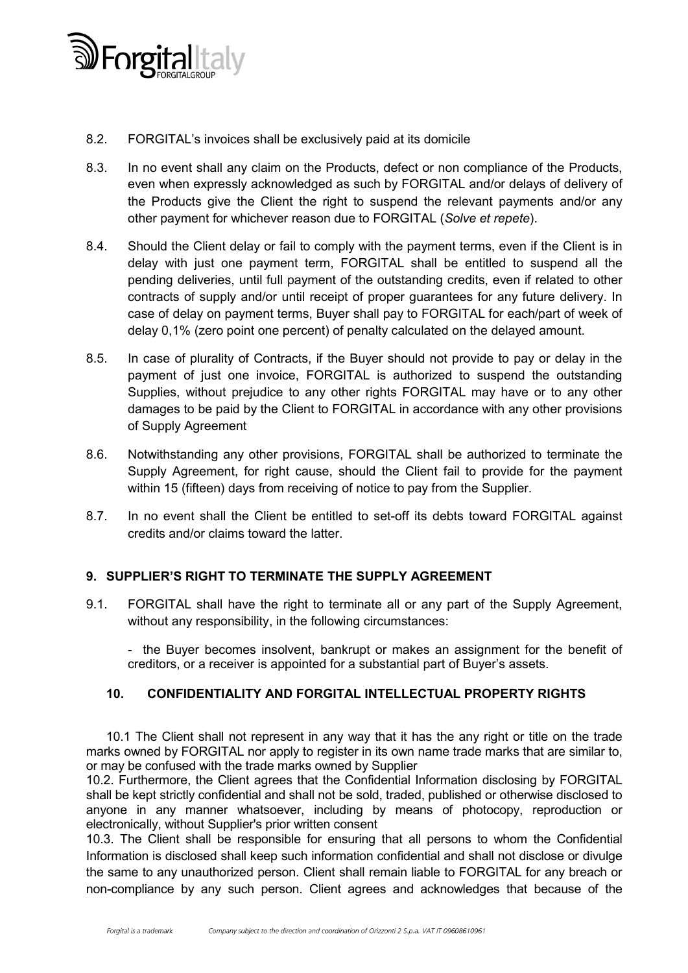

- 8.2. FORGITAL's invoices shall be exclusively paid at its domicile
- 8.3. In no event shall any claim on the Products, defect or non compliance of the Products, even when expressly acknowledged as such by FORGITAL and/or delays of delivery of the Products give the Client the right to suspend the relevant payments and/or any other payment for whichever reason due to FORGITAL (*Solve et repete*).
- 8.4. Should the Client delay or fail to comply with the payment terms, even if the Client is in delay with just one payment term, FORGITAL shall be entitled to suspend all the pending deliveries, until full payment of the outstanding credits, even if related to other contracts of supply and/or until receipt of proper guarantees for any future delivery. In case of delay on payment terms, Buyer shall pay to FORGITAL for each/part of week of delay 0,1% (zero point one percent) of penalty calculated on the delayed amount.
- 8.5. In case of plurality of Contracts, if the Buyer should not provide to pay or delay in the payment of just one invoice, FORGITAL is authorized to suspend the outstanding Supplies, without prejudice to any other rights FORGITAL may have or to any other damages to be paid by the Client to FORGITAL in accordance with any other provisions of Supply Agreement
- 8.6. Notwithstanding any other provisions, FORGITAL shall be authorized to terminate the Supply Agreement, for right cause, should the Client fail to provide for the payment within 15 (fifteen) days from receiving of notice to pay from the Supplier.
- 8.7. In no event shall the Client be entitled to set-off its debts toward FORGITAL against credits and/or claims toward the latter.

### 9. SUPPLIER'S RIGHT TO TERMINATE THE SUPPLY AGREEMENT

9.1. FORGITAL shall have the right to terminate all or any part of the Supply Agreement, without any responsibility, in the following circumstances:

- the Buyer becomes insolvent, bankrupt or makes an assignment for the benefit of creditors, or a receiver is appointed for a substantial part of Buyer's assets.

### 10. CONFIDENTIALITY AND FORGITAL INTELLECTUAL PROPERTY RIGHTS

10.1 The Client shall not represent in any way that it has the any right or title on the trade marks owned by FORGITAL nor apply to register in its own name trade marks that are similar to, or may be confused with the trade marks owned by Supplier

10.2. Furthermore, the Client agrees that the Confidential Information disclosing by FORGITAL shall be kept strictly confidential and shall not be sold, traded, published or otherwise disclosed to anyone in any manner whatsoever, including by means of photocopy, reproduction or electronically, without Supplier's prior written consent

10.3. The Client shall be responsible for ensuring that all persons to whom the Confidential Information is disclosed shall keep such information confidential and shall not disclose or divulge the same to any unauthorized person. Client shall remain liable to FORGITAL for any breach or non-compliance by any such person. Client agrees and acknowledges that because of the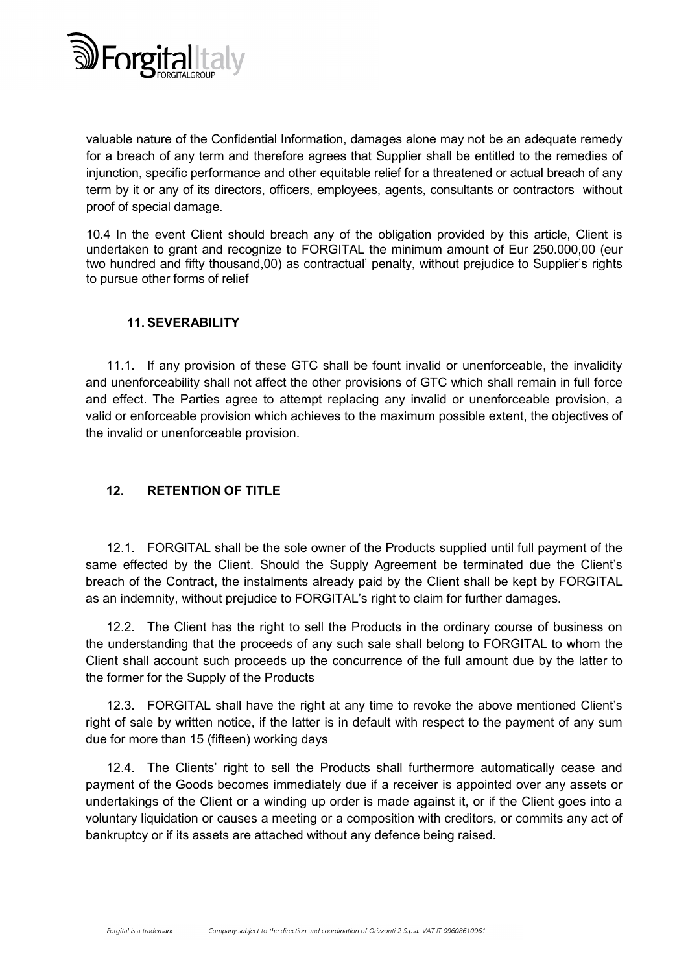

valuable nature of the Confidential Information, damages alone may not be an adequate remedy for a breach of any term and therefore agrees that Supplier shall be entitled to the remedies of injunction, specific performance and other equitable relief for a threatened or actual breach of any term by it or any of its directors, officers, employees, agents, consultants or contractors without proof of special damage.

10.4 In the event Client should breach any of the obligation provided by this article, Client is undertaken to grant and recognize to FORGITAL the minimum amount of Eur 250.000,00 (eur two hundred and fifty thousand,00) as contractual' penalty, without prejudice to Supplier's rights to pursue other forms of relief

### 11. SEVERABILITY

11.1. If any provision of these GTC shall be fount invalid or unenforceable, the invalidity and unenforceability shall not affect the other provisions of GTC which shall remain in full force and effect. The Parties agree to attempt replacing any invalid or unenforceable provision, a valid or enforceable provision which achieves to the maximum possible extent, the objectives of the invalid or unenforceable provision.

# 12. RETENTION OF TITLE

12.1. FORGITAL shall be the sole owner of the Products supplied until full payment of the same effected by the Client. Should the Supply Agreement be terminated due the Client's breach of the Contract, the instalments already paid by the Client shall be kept by FORGITAL as an indemnity, without prejudice to FORGITAL's right to claim for further damages.

12.2. The Client has the right to sell the Products in the ordinary course of business on the understanding that the proceeds of any such sale shall belong to FORGITAL to whom the Client shall account such proceeds up the concurrence of the full amount due by the latter to the former for the Supply of the Products

12.3. FORGITAL shall have the right at any time to revoke the above mentioned Client's right of sale by written notice, if the latter is in default with respect to the payment of any sum due for more than 15 (fifteen) working days

12.4. The Clients' right to sell the Products shall furthermore automatically cease and payment of the Goods becomes immediately due if a receiver is appointed over any assets or undertakings of the Client or a winding up order is made against it, or if the Client goes into a voluntary liquidation or causes a meeting or a composition with creditors, or commits any act of bankruptcy or if its assets are attached without any defence being raised.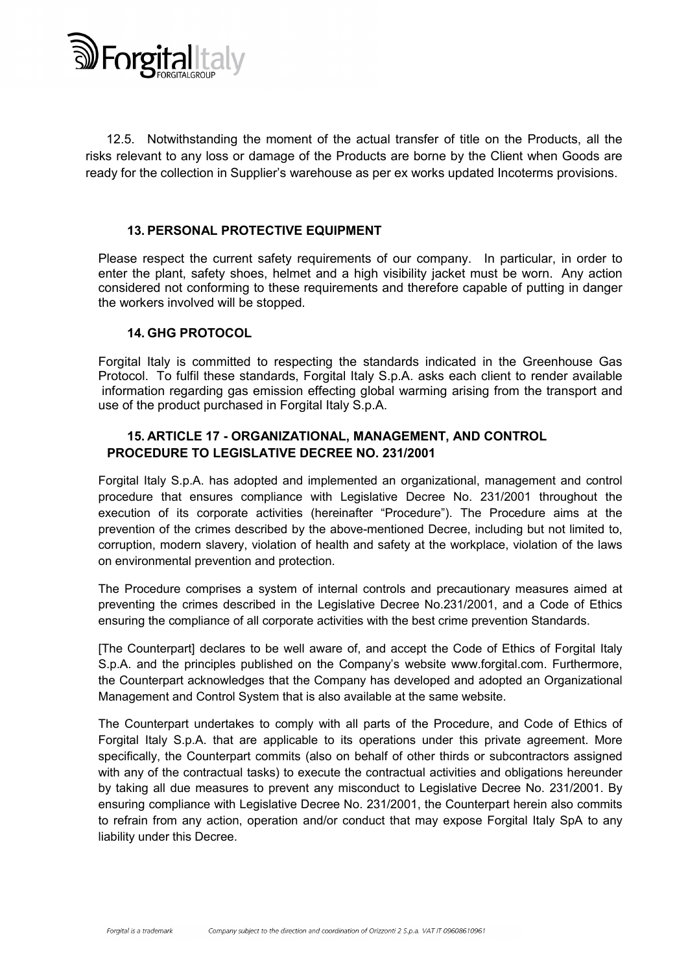

12.5. Notwithstanding the moment of the actual transfer of title on the Products, all the risks relevant to any loss or damage of the Products are borne by the Client when Goods are ready for the collection in Supplier's warehouse as per ex works updated Incoterms provisions.

#### 13. PERSONAL PROTECTIVE EQUIPMENT

Please respect the current safety requirements of our company. In particular, in order to enter the plant, safety shoes, helmet and a high visibility jacket must be worn. Any action considered not conforming to these requirements and therefore capable of putting in danger the workers involved will be stopped.

#### 14. GHG PROTOCOL

Forgital Italy is committed to respecting the standards indicated in the Greenhouse Gas Protocol. To fulfil these standards, Forgital Italy S.p.A. asks each client to render available information regarding gas emission effecting global warming arising from the transport and use of the product purchased in Forgital Italy S.p.A.

### 15. ARTICLE 17 - ORGANIZATIONAL, MANAGEMENT, AND CONTROL PROCEDURE TO LEGISLATIVE DECREE NO. 231/2001

Forgital Italy S.p.A. has adopted and implemented an organizational, management and control procedure that ensures compliance with Legislative Decree No. 231/2001 throughout the execution of its corporate activities (hereinafter "Procedure"). The Procedure aims at the prevention of the crimes described by the above-mentioned Decree, including but not limited to, corruption, modern slavery, violation of health and safety at the workplace, violation of the laws on environmental prevention and protection.

The Procedure comprises a system of internal controls and precautionary measures aimed at preventing the crimes described in the Legislative Decree No.231/2001, and a Code of Ethics ensuring the compliance of all corporate activities with the best crime prevention Standards.

[The Counterpart] declares to be well aware of, and accept the Code of Ethics of Forgital Italy S.p.A. and the principles published on the Company's website www.forgital.com. Furthermore, the Counterpart acknowledges that the Company has developed and adopted an Organizational Management and Control System that is also available at the same website.

The Counterpart undertakes to comply with all parts of the Procedure, and Code of Ethics of Forgital Italy S.p.A. that are applicable to its operations under this private agreement. More specifically, the Counterpart commits (also on behalf of other thirds or subcontractors assigned with any of the contractual tasks) to execute the contractual activities and obligations hereunder by taking all due measures to prevent any misconduct to Legislative Decree No. 231/2001. By ensuring compliance with Legislative Decree No. 231/2001, the Counterpart herein also commits to refrain from any action, operation and/or conduct that may expose Forgital Italy SpA to any liability under this Decree.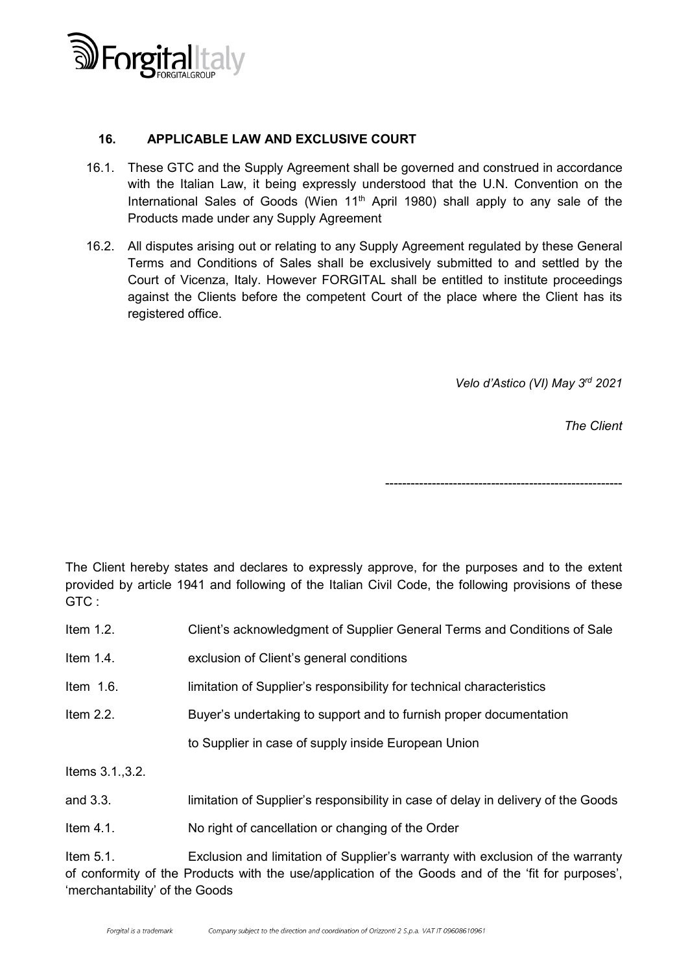

### 16. APPLICABLE LAW AND EXCLUSIVE COURT

- 16.1. These GTC and the Supply Agreement shall be governed and construed in accordance with the Italian Law, it being expressly understood that the U.N. Convention on the International Sales of Goods (Wien  $11<sup>th</sup>$  April 1980) shall apply to any sale of the Products made under any Supply Agreement
- 16.2. All disputes arising out or relating to any Supply Agreement regulated by these General Terms and Conditions of Sales shall be exclusively submitted to and settled by the Court of Vicenza, Italy. However FORGITAL shall be entitled to institute proceedings against the Clients before the competent Court of the place where the Client has its registered office.

*Velo d'Astico (VI) May 3rd 2021*

*The Client*

--------------------------------------------------------

The Client hereby states and declares to expressly approve, for the purposes and to the extent provided by article 1941 and following of the Italian Civil Code, the following provisions of these GTC :

| Item $1.2$ . | Client's acknowledgment of Supplier General Terms and Conditions of Sale |
|--------------|--------------------------------------------------------------------------|
| Item $1.4$ . | exclusion of Client's general conditions                                 |
| Item $1.6$ . | limitation of Supplier's responsibility for technical characteristics    |
| Item $2.2$ . | Buyer's undertaking to support and to furnish proper documentation       |

to Supplier in case of supply inside European Union

Items 3.1.,3.2.

and 3.3. limitation of Supplier's responsibility in case of delay in delivery of the Goods

Item 4.1. No right of cancellation or changing of the Order

Item 5.1. Exclusion and limitation of Supplier's warranty with exclusion of the warranty of conformity of the Products with the use/application of the Goods and of the 'fit for purposes', 'merchantability' of the Goods